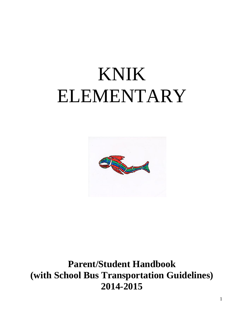# KNIK ELEMENTARY



**Parent/Student Handbook (with School Bus Transportation Guidelines) 2014-2015**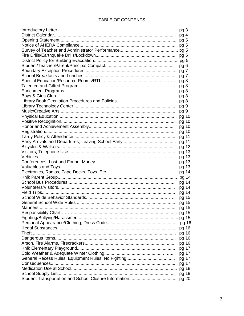# TABLE OF CONTENTS

| pg 5  |  |
|-------|--|
|       |  |
|       |  |
|       |  |
| pg 6  |  |
|       |  |
|       |  |
| pg 8  |  |
| pg 8  |  |
| pg 8  |  |
| pg 8  |  |
| pg 8  |  |
| pg 9  |  |
| pg 9  |  |
| pg 10 |  |
| pg 10 |  |
| pg 10 |  |
| pg 10 |  |
| pg 11 |  |
| pg 11 |  |
| pg 12 |  |
| pg 13 |  |
| pg 13 |  |
| pg 13 |  |
| pg 13 |  |
| pg 14 |  |
| pg 14 |  |
| pg 14 |  |
| pg 14 |  |
| pg 14 |  |
| pg 15 |  |
| pg 15 |  |
| pg 15 |  |
| pg 15 |  |
|       |  |
|       |  |
| pg 16 |  |
| pg 16 |  |
| pg 16 |  |
| pg 16 |  |
| pg 17 |  |
| pg 17 |  |
| pg 17 |  |
| pg 17 |  |
| pg 18 |  |
| pg 19 |  |
|       |  |
|       |  |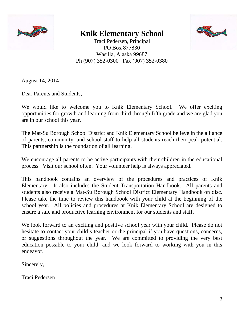

# **Knik Elementary School**



Traci Pedersen, Principal PO Box 877830 Wasilla, Alaska 99687 Ph (907) 352-0300 Fax (907) 352-0380

August 14, 2014

Dear Parents and Students,

We would like to welcome you to Knik Elementary School. We offer exciting opportunities for growth and learning from third through fifth grade and we are glad you are in our school this year.

The Mat-Su Borough School District and Knik Elementary School believe in the alliance of parents, community, and school staff to help all students reach their peak potential. This partnership is the foundation of all learning.

We encourage all parents to be active participants with their children in the educational process. Visit our school often. Your volunteer help is always appreciated.

This handbook contains an overview of the procedures and practices of Knik Elementary. It also includes the Student Transportation Handbook. All parents and students also receive a Mat-Su Borough School District Elementary Handbook on disc. Please take the time to review this handbook with your child at the beginning of the school year. All policies and procedures at Knik Elementary School are designed to ensure a safe and productive learning environment for our students and staff.

We look forward to an exciting and positive school year with your child. Please do not hesitate to contact your child's teacher or the principal if you have questions, concerns, or suggestions throughout the year. We are committed to providing the very best education possible to your child, and we look forward to working with you in this endeavor.

Sincerely,

Traci Pedersen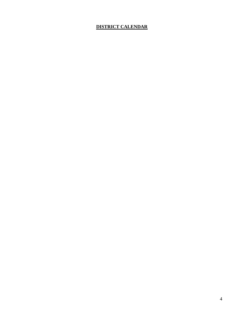# **DISTRICT CALENDAR**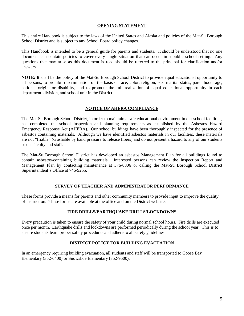#### **OPENING STATEMENT**

This entire Handbook is subject to the laws of the United States and Alaska and policies of the Mat-Su Borough School District and is subject to any School Board policy changes.

This Handbook is intended to be a general guide for parents and students. It should be understood that no one document can contain policies to cover every single situation that can occur in a public school setting. Any questions that may arise as this document is read should be referred to the principal for clarification and/or answers.

**NOTE:** It shall be the policy of the Mat-Su Borough School District to provide equal educational opportunity to all persons, to prohibit discrimination on the basis of race, color, religion, sex, marital status, parenthood, age, national origin, or disability, and to promote the full realization of equal educational opportunity in each department, division, and school unit in the District.

#### **NOTICE OF AHERA COMPLIANCE**

The Mat-Su Borough School District, in order to maintain a safe educational environment in our school facilities, has completed the school inspection and planning requirements as established by the Asbestos Hazard Emergency Response Act (AHERA). Our school buildings have been thoroughly inspected for the presence of asbestos containing materials. Although we have identified asbestos materials in our facilities, these materials are not "friable" (crushable by hand pressure to release fibers) and do not present a hazard to any of our students or our faculty and staff.

The Mat-Su Borough School District has developed an asbestos Management Plan for all buildings found to contain asbestos-containing building materials. Interested persons can review the Inspection Report and Management Plan by contacting maintenance at 376-0806 or calling the Mat-Su Borough School District Superintendent's Office at 746-9255.

#### **SURVEY OF TEACHER AND ADMINISTRATOR PERFORMANCE**

These forms provide a means for parents and other community members to provide input to improve the quality of instruction. These forms are available at the office and on the District website.

#### **FIRE DRILLS/EARTHQUAKE DRILLS/LOCKDOWNS**

Every precaution is taken to ensure the safety of your child during normal school hours. Fire drills are executed once per month. Earthquake drills and lockdowns are performed periodically during the school year. This is to ensure students learn proper safety procedures and adhere to all safety guidelines.

#### **DISTRICT POLICY FOR BUILDING EVACUATION**

In an emergency requiring building evacuation, all students and staff will be transported to Goose Bay Elementary (352-6400) or Snowshoe Elementary (352-9500).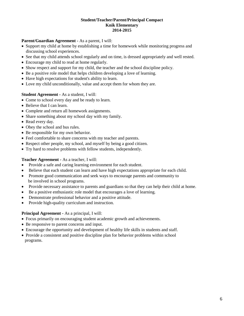#### **Student/Teacher/Parent/Principal Compact Knik Elementary 2014-2015**

#### **Parent/Guardian Agreement -** As a parent, I will:

- Support my child at home by establishing a time for homework while monitoring progress and discussing school experiences.
- See that my child attends school regularly and on time, is dressed appropriately and well rested.
- Encourage my child to read at home regularly.
- Show respect and support for my child, the teacher and the school discipline policy.
- Be a positive role model that helps children developing a love of learning.
- Have high expectations for student's ability to learn.
- Love my child unconditionally, value and accept them for whom they are.

## **Student Agreement -** As a student, I will:

- Come to school every day and be ready to learn.
- Believe that I can learn.
- Complete and return all homework assignments.
- Share something about my school day with my family.
- Read every day.
- Obey the school and bus rules.
- Be responsible for my own behavior.
- Feel comfortable to share concerns with my teacher and parents.
- Respect other people, my school, and myself by being a good citizen.
- Try hard to resolve problems with fellow students, independently.

# **Teacher Agreement -** As a teacher, I will:

- Provide a safe and caring learning environment for each student.
- Believe that each student can learn and have high expectations appropriate for each child.
- Promote good communication and seek ways to encourage parents and community to be involved in school programs.
- Provide necessary assistance to parents and guardians so that they can help their child at home.
- Be a positive enthusiastic role model that encourages a love of learning.
- Demonstrate professional behavior and a positive attitude.
- Provide high-quality curriculum and instruction.

# **Principal Agreement -** As a principal, I will:

- Focus primarily on encouraging student academic growth and achievements.
- Be responsive to parent concerns and input.
- Encourage the opportunity and development of healthy life skills in students and staff.
- Provide a consistent and positive discipline plan for behavior problems within school programs.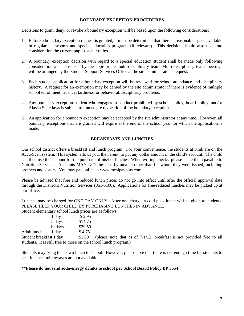#### **BOUNDARY EXCEPTION PROCEDURES**

Decisions to grant, deny, or revoke a boundary exception will be based upon the following considerations:

- 1. Before a boundary exception request is granted, it must be determined that there is reasonable space available in regular classrooms and special education programs (if relevant). This decision should also take into consideration the current pupil-teacher ratios.
- 2. A boundary exception decision with regard to a special education student shall be made only following consideration and consensus by the appropriate multi-disciplinary team. Multi-disciplinary team meetings will be arranged by the Student Support Services Office at the site administrator's request.
- 3. Each student application for a boundary exception will be reviewed for school attendance and disciplinary history. A request for an exemption may be denied by the site administrator if there is evidence of multiple school enrollment, truancy, tardiness, or behavioral/disciplinary problems.
- 4. Any boundary exception student who engages in conduct prohibited by school policy, board policy, and/or Alaska State laws is subject to immediate revocation of the boundary exception.
- 5. An application for a boundary exception may be accepted by the site administrator at any time. However, all boundary exceptions that are granted will expire at the end of the school year for which the application is made.

#### **BREAKFASTS AND LUNCHES**

Our school district offers a breakfast and lunch program. For your convenience, the students at Knik are on the Accu-Scan system. This system allows you, the parent, to put any dollar amount in the child's account. The child can then use the account for the purchase of his/her lunches. When writing checks, please make them payable to Nutrition Services. Accounts MAY NOT be used by anyone other than for whom they were issued, including brothers and sisters. You may pay online at www.mealpayplus.com.

Please be advised that free and reduced lunch prices do not go into effect until after the official approval date through the District's Nutrition Services (861-5100). Applications for free/reduced lunches may be picked up at our office.

Lunches may be charged for ONE DAY ONLY. After one charge, a cold pack lunch will be given to students. PLEASE HELP YOUR CHILD BY PURCHASING LUNCHES IN ADVANCE.

Student elementary school lunch prices are as follows:

|                         | 1 day   | \$2.95  |
|-------------------------|---------|---------|
|                         | 5 days  | \$14.75 |
|                         | 10 days | \$29.50 |
| Adult lunch             | 1 day   | \$4.75  |
| Student breakfast 1 day |         | \$1.60  |

Student breakfast 1 day \$1.60 (please note that as of 7/1/12, breakfast is not provided free to all students. It is still free to those on the school lunch program.)

Students may bring their own lunch to school. However, please note that there is not enough time for students to heat lunches; microwaves are not available.

#### **\*\*Please do not send soda/energy drinks to school per School Board Policy BP 3554**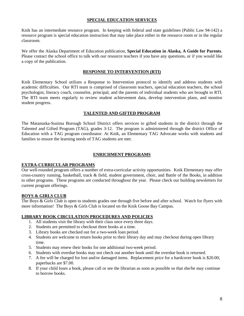#### **SPECIAL EDUCATION SERVICES**

Knik has an intermediate resource program. In keeping with federal and state guidelines (Public Law 94-142) a resource program is special education instruction that may take place either in the resource room or in the regular classroom.

We offer the Alaska Department of Education publication, **Special Education in Alaska, A Guide for Parents**. Please contact the school office to talk with our resource teachers if you have any questions, or if you would like a copy of the publication.

#### **RESPONSE TO INTERVENTION (RTI)**

Knik Elementary School utilizes a Response to Intervention protocol to identify and address students with academic difficulties. Our RTI team is comprised of classroom teachers, special education teachers, the school psychologist, literacy coach, counselor, principal, and the parents of individual students who are brought to RTI. The RTI team meets regularly to review student achievement data, develop intervention plans, and monitor student progress.

#### **TALENTED AND GIFTED PROGRAM**

The Matanuska-Susitna Borough School District offers services to gifted students in the district through the Talented and Gifted Program (TAG), grades 3-12. The program is administered through the district Office of Education with a TAG program coordinator. At Knik, an Elementary TAG Advocate works with students and families to ensure the learning needs of TAG students are met.

#### **ENRICHMENT PROGRAMS**

#### **EXTRA-CURRICULAR PROGRAMS**

Our well-rounded program offers a number of extra-curricular activity opportunities. Knik Elementary may offer cross-country running, basketball, track & field, student government, choir, and Battle of the Books, in addition to other programs. These programs are conducted throughout the year. Please check our building newsletters for current program offerings.

#### **BOYS & GIRLS CLUB**

The Boys & Girls Club is open to students grades one through five before and after school. Watch for flyers with more information! The Boys & Girls Club is located on the Knik Goose Bay Campus.

#### **LIBRARY BOOK CIRCULATION PROCEDURES AND POLICIES**

- 1. All students visit the library with their class once every three days.
- 2. Students are permitted to checkout three books at a time.
- 3. Library books are checked out for a two-week loan period.
- 4. Students are welcome to return books prior to their library day and may checkout during open library time.
- 5. Students may renew their books for one additional two-week period.
- 6. Students with overdue books may not check out another book until the overdue book is returned.
- 7. A fee will be charged for lost and/or damaged items. Replacement price for a hardcover book is \$20.00; paperbacks are \$7.00.
- 8. If your child loses a book, please call or see the librarian as soon as possible so that she/he may continue to borrow books.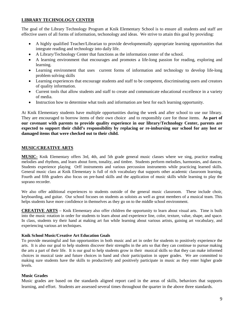#### **LIBRARY TECHNOLOGY CENTER**

The goal of the Library Technology Program at Knik Elementary School is to ensure all students and staff are effective users of all forms of information, techonology and ideas. We strive to attain this goal by providing:

- A highly qualified Teacher/Librarian to provide developmentally appropriate learning opportunities that integrate reading and technology into daily life.
- A Library/Technology Center that functions as the information center of the school.
- A learning environment that encourages and promotes a life-long passion for reading, exploring and learning.
- Learning environment that uses current forms of information and technology to develop life-long problem solving skills
- Learning experiences that encourage students and staff to be competent, discriminating users and creators of quality information.
- Current tools that allow students and staff to create and communicate educational excellence in a variety of media.
- Instruction how to determine what tools and information are best for each learning opportunity.

At Knik Elementary students have multiple opportunities during the week and after school to use our library. They are encouraged to borrow items of their own choice and to responsibly care for those items. **As part of our covenant with parents to provide quality experience in our library/Technology Center, parents are expected to support their child's responsibility by replacing or re-imbursing our school for any lost or damaged items that were checked out to their child.** 

#### **MUSIC/CREATIVE ARTS**

**MUSIC-** Knik Elementary offers 3rd, 4th, and 5th grade general music classes where we sing, practice reading melodies and rhythms, and learn about form, tonality, and timbre. Students perform melodies, harmonies, and dances. Students experience playing Orff instruments and various percussion instruments while practicing learned skills. General music class at Knik Elementary is full of rich vocabulary that supports other academic classroom learning. Fourth and fifth graders also focus on pre-band skills and the application of music skills while learning to play the soprano recorder.

We also offer additional experiences to students outside of the general music classroom. These include choir, keyboarding, and guitar. Our school focuses on students as soloists as well as great members of a musical team. This helps students have more confidence in themselves as they go on to the middle school environment.

**CREATIVE ARTS** – Knik Elementary also offer children the opportunity to learn about visual arts. Time is built into the music rotation in order for students to learn about and experience line, color, texture, value, shape, and space. In class, students try their hand at making art fun while learning about various artists, gaining art vocabulary, and experiencing various art techniques.

#### **Knik School Music/Creative Art Education Goals**

To provide meaningful and fun opportunities in both music and art in order for students to positively experience the arts. It is also our goal to help students discover their strengths in the arts so that they can continue to pursue making the arts a part of their life. It is our goal to help students grow in their musical skills so that they can make informed choices in musical taste and future choices in band and choir participation in upper grades. We are committed to making sure students have the skills to productively and positively participate in music as they enter higher grade levels.

#### **Music Grades**

Music grades are based on the standards aligned report card in the areas of skills, behaviors that supports learning, and effort. Students are assessed several times throughout the quarter in the above three standards.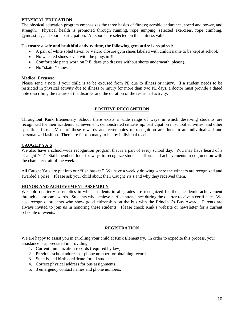#### **PHYSICAL EDUCATION**

The physical education program emphasizes the three basics of fitness; aerobic endurance, speed and power, and strength. Physical health is promoted through running, rope jumping, selected exercises, rope climbing, gymnastics, and sports participation. All sports are selected on their fitness value.

#### **To ensure a safe and healthful activity time, the following gym attire is required:**

- A pair of white soled tie-on or Velcro closure gym shoes labeled with child's name to be kept at school.
- No wheeled shoes- even with the plugs in!!!
- Comfortable pants worn on P.E. days (no dresses without shorts underneath, please).
- No "skater" shoes.

#### **Medical Excuses:**

Please send a note if your child is to be excused from PE due to illness or injury. If a student needs to be restricted in physical activity due to illness or injury for more than two PE days, a doctor must provide a dated note describing the nature of the disorder and the duration of the restricted activity.

#### **POSITIVE RECOGNITION**

Throughout Knik Elementary School there exists a wide range of ways in which deserving students are recognized for their academic achievement, demonstrated citizenship, participation in school activities, and other specific efforts. Most of these rewards and ceremonies of recognition are done in an individualized and personalized fashion. There are far too many to list by individual teacher.

#### **CAUGHT YA'S**

We also have a school-wide recognition program that is a part of every school day. You may have heard of a "Caught Ya." Staff members look for ways to recognize student's efforts and achievements in conjunction with the character trait of the week.

All Caught Ya's are put into our "fish basket." We have a weekly drawing where the winners are recognized and awarded a prize. Please ask your child about their Caught Ya's and why they received them.

#### **HONOR AND ACHIEVEMENT ASSEMBLY**

We hold quarterly assemblies in which students in all grades are recognized for their academic achievement through classroom awards. Students who achieve perfect attendance during the quarter receive a certificate. We also recognize students who show good citizenship on the bus with the Principal's Bus Award. Parents are always invited to join us in honoring these students. Please check Knik's website or newsletter for a current schedule of events.

#### **REGISTRATION**

We are happy to assist you in enrolling your child at Knik Elementary. In order to expedite this process, your assistance is appreciated in providing:

- 1. Current immunization records (required by law).
- 2. Previous school address or phone number for obtaining records.
- 3. State issued birth certificate for all students.
- 4. Correct physical address for bus assignments.
- 5. 3 emergency contact names and phone numbers.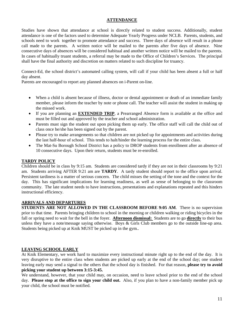#### **ATTENDANCE**

Studies have shown that attendance at school is directly related to student success. Additionally, student attendance is one of the factors used to determine Adequate Yearly Progress under NCLB. Parents, students, and schools need to work together to promote attendance and success. Three days of absence will result in a phone call made to the parents. A written notice will be mailed to the parents after five days of absence. Nine consecutive days of absences will be considered habitual and another written notice will be mailed to the parents. In cases of habitually truant students, a referral may be made to the Office of Children's Services. The principal shall have the final authority and discretion on matters related to such discipline for truancy.

Connect-Ed, the school district's automated calling system, will call if your child has been absent a full or half day absent.

Parents are encouraged to report any planned absences on i-Parent on-line.

- When a child is absent because of illness, doctor or dental appointment or death of an immediate family member, please inform the teacher by note or phone call. The teacher will assist the student in making up the missed work.
- If you are planning an **EXTENDED TRIP**, a Prearranged Absence form is available at the office and must be filled out and approved by the teacher and school administration.
- Parents must sign the student out upon picking them up early. The office staff will call the child out of class once he/she has been signed out by the parent.
- Please try to make arrangements so that children are not picked up for appointments and activities during the last half-hour of school. This tends to halt/hinder the learning process for the entire class.
- The Mat-Su Borough School District has a policy to DROP students from enrollment after an absence of 10 consecutive days. Upon their return, students must be re-enrolled.

#### **TARDY POLICY**

Children should be in class by 9:15 am. Students are considered tardy if they are not in their classrooms by 9:21 am. Students arriving AFTER 9:21 am are **TARDY**. A tardy student should report to the office upon arrival. Persistent tardiness is a matter of serious concern. The child misses the setting of the tone and the context for the day. This has significant implications for learning readiness, as well as sense of belonging to the classroom community. The late student needs to have instructions, presentations and explanations repeated and this hinders instructional efficiency.

#### **ARRIVALS AND DEPARTURES**

**STUDENTS ARE NOT ALLOWED IN THE CLASSROOM BEFORE 9:05 AM**. There is no supervision prior to that time. Parents bringing children to school in the morning or children walking or riding bicycles in the fall or spring need to wait for the bell in the foyer. **Afternoon dismissal:** Students are to go **directly** to their bus unless they have a note/message saying otherwise. Boys & Girls Club members go to the outside line-up area. Students being picked up at Knik MUST be picked up in the gym..

#### **LEAVING SCHOOL EARLY**

At Knik Elementary, we work hard to maximize every instructional minute right up to the end of the day. It is very disruptive to the entire class when students are picked up early at the end of the school day; one student leaving early may send a signal to the others that the school day is finished. For that reason, **please try to avoid picking your student up between 3:15-3:45.**

We understand, however, that your child may, on occasion, need to leave school prior to the end of the school day. **Please stop at the office to sign your child out.** Also, if you plan to have a non-family member pick up your child, the school must be notified.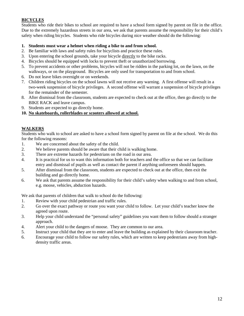# **BICYCLES**

Students who ride their bikes to school are required to have a school form signed by parent on file in the office. Due to the extremely hazardous streets in our area, we ask that parents assume the responsibility for their child's safety when riding bicycles. Students who ride bicycles during nice weather should do the following:

#### **1. Students must wear a helmet when riding a bike to and from school.**

- 2. Be familiar with laws and safety rules for bicyclists and practice these rules.
- 3. Upon entering the school grounds, take your bicycle directly to the bike racks.
- 4. Bicycles should be equipped with locks to prevent theft or unauthorized borrowing.
- 5. To prevent accidents or other problems, bicycles will not be ridden in the parking lot, on the lawn, on the walkways, or on the playground. Bicycles are only used for transportation to and from school.
- 6. Do not leave bikes overnight or on weekends.
- 7. Children riding bicycles on the school lawns will not receive any warning. A first offense will result in a two-week suspension of bicycle privileges. A second offense will warrant a suspension of bicycle privileges for the remainder of the semester.
- 8. After dismissal from the classroom, students are expected to check out at the office, then go directly to the BIKE RACK and leave campus.
- 9. Students are expected to go directly home.

#### **10. No skateboards, rollerblades or scooters allowed at school.**

#### **WALKERS**

Students who walk to school are asked to have a school form signed by parent on file at the school. We do this for the following reasons:

- 1. We are concerned about the safety of the child.
- 2. We believe parents should be aware that their child is walking home.
- 3. There are extreme hazards for pedestrians on the road in our area.
- 4. It is practical for us to want this information both for teachers and the office so that we can facilitate entry and dismissal of pupils as well as contact the parent if anything unforeseen should happen.
- 5. After dismissal from the classroom, students are expected to check out at the office, then exit the building and go directly home.
- 6. We ask that parents assume the responsibility for their child's safety when walking to and from school, e.g. moose, vehicles, abduction hazards.

We ask that parents of children that walk to school do the following:

- 1. Review with your child pedestrian and traffic rules.
- 2. Go over the exact pathway or route you want your child to follow. Let your child's teacher know the agreed upon route.
- 3. Help your child understand the "personal safety" guidelines you want them to follow should a stranger approach.
- 4. Alert your child to the dangers of moose. They are common to our area.
- 5. Instruct your child that they are to enter and leave the building as explained by their classroom teacher.
- 6. Encourage your child to follow our safety rules, which are written to keep pedestrians away from highdensity traffic areas.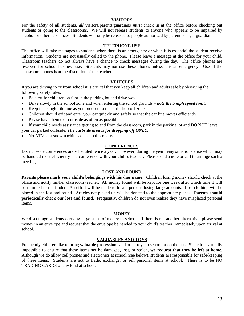#### **VISITORS**

For the safety of all students, *all* visitors/parents/guardians *must* check in at the office before checking out students or going to the classrooms. We will not release students to anyone who appears to be impaired by alcohol or other substances. Students will only be released to people authorized by parent or legal guardian.

#### **TELEPHONE USE**

The office will take messages to students when there is an emergency or when it is essential the student receive information. Students are not usually called to the phone. Please leave a message at the office for your child. Classroom teachers do not always have a chance to check messages during the day. The office phones are reserved for school business use. Students may not use these phones unless it is an emergency. Use of the classroom phones is at the discretion of the teacher.

#### **VEHICLES**

If you are driving to or from school it is critical that you keep all children and adults safe by observing the following safety rules:

- Be alert for children on foot in the parking lot and drive way.
- Drive slowly in the school zone and when entering the school grounds *note the 5 mph speed limit*.
- Keep in a single file line as you proceed to the curb drop-off zone.
- Children should exit and enter your car quickly and safely so that the car line moves efficiently.
- Please have them exit curbside as often as possible.

• If your child needs assistance getting to and from the classroom, park in the parking lot and DO NOT leave your car parked curbside. *The curbside area is for dropping off ONLY.*

• No ATV's or snowmachines on school property

#### **CONFERENCES**

District wide conferences are scheduled twice a year. However, during the year many situations arise which may be handled most efficiently in a conference with your child's teacher. Please send a note or call to arrange such a meeting.

#### **LOST AND FOUND**

**Parents please mark your child's belongings with his /her name!** Children losing money should check at the office and notify his/her classroom teacher. All money found will be kept for one week after which time it will be returned to the finder. An effort will be made to locate persons losing large amounts. Lost clothing will be placed in the lost and found. Articles not picked up will be donated to the appropriate places. **Parents should periodically check our lost and found.** Frequently, children do not even realize they have misplaced personal items.

#### **MONEY**

We discourage students carrying large sums of money to school. If there is not another alternative, please send money in an envelope and request that the envelope be handed to your child's teacher immediately upon arrival at school.

#### **VALUABLES AND TOYS**

Frequently children like to bring **valuable possessions** and other toys to school or on the bus. Since it is virtually impossible to ensure that these items not be damaged, lost, or stolen, **we request that they be left at home**. Although we do allow cell phones and electronics at school (see below), students are responsible for safe-keeping of these items. Students are not to trade, exchange, or sell personal items at school. There is to be NO TRADING CARDS of any kind at school.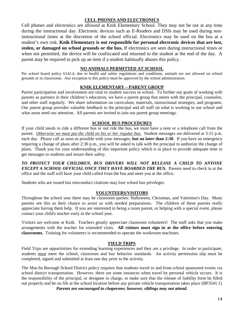#### **CELL PHONES AND ELECTRONICS**

Cell phones and electronics are allowed at Knik Elementary School. They may not be out at any time during the instructional day. Electronic devices such as E-Readers and DSIs may be used during noninstructional times at the discretion of the school official. Electronics may be used on the bus at a student's own risk. **Knik Elementary is not responsible for personal electronic devices that are lost, stolen, or damaged on school grounds or the bus.** If electronics are seen during instructional times or when not permitted, the device will be confiscated and returned to the student at the end of the day. A parent may be required to pick up an item if a student habitually abuses this policy.

#### **NO ANIMALS PERMITTED AT SCHOOL**

Per school board policy 6142.4, due to health and safety regulations and conditions, animals are not allowed on school grounds or in classrooms. Any exception to this policy must be approved by the school administration.

#### **KNIK ELEMENTARY – PARENT GROUP**

Parent participation and involvement are vital to student success in school. To further our goals of working with parents as partners in their children's education, we have a parent group that meets with the principal, counselor, and other staff regularly. We share information on curriculum, materials, instructional strategies, and programs. Our parent group provides valuable feedback to the principal and all staff on what is working in our school and what areas need our attention. All parents are invited to join our parent group meetings.

#### **SCHOOL BUS PROCEDURES**

If your child needs to ride a different bus or not ride the bus, we must have a note or a telephone call from the parent. *Otherwise we must put the child on his or her regular bus.* Student messages are delivered at 3:15 p.m. each day. Please call as soon as possible with your messages, **but no later than 2:30**. If you have an emergency requiring a change of plans after 2:30 p.m., you will be asked to talk with the principal to authorize the change of plans. Thank you for your understanding of this important policy which is in place to provide adequate time to get messages to students and insure their safety.

*TO PROTECT YOUR CHILDREN, BUS DRIVERS WILL NOT RELEASE A CHILD TO ANYONE EXCEPT A SCHOOL OFFICIAL ONCE THEY HAVE BOARDED THE BUS.* Parents need to check in at the office and the staff will have your child called from the bus and meet you at the office.

Students who are issued bus misconduct citations may lose school bus privileges.

#### **VOLUNTEERS/VISITORS**

Throughout the school year there may be classroom parties: Halloween, Christmas, and Valentine's Day. Many parents see this as their chance to assist us with needed preparations. The children of these parents really appreciate having them help. If you are interested in being a room parent, or helping with a special event, please contact your child's teacher early in the school year.

Visitors are welcome at Knik. Teachers greatly appreciate classroom volunteers! The staff asks that you make arrangements with the teacher for extended visits. **All visitors must sign in at the office before entering classrooms.** Training for volunteers is recommended to operate the workroom machines.

#### **FIELD TRIPS**

Field Trips are opportinities for extending learning experiences and they are a privilege. In order to participate, students *must* meet the school, classroom and bus behavior standards. An activity permission slip must be completed, signed and submitted at least one day prior to the activity.

The Mat-Su Borough School District policy requires that students travel to and from school sponsored events via school district transportation. However, there are some instances when travel by personal vehicle occurs. It is the responsibility of the principal, or designee in charge, to make sure that the release of liability form be filled out properly and be on file at the school location before any private vehicle transportation takes place (BP3541.1) *Parents are encouraged to chaperone; however, siblings may not attend.*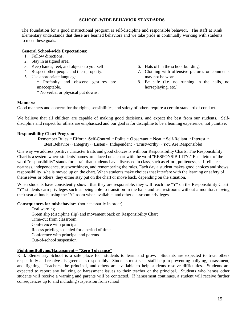#### **SCHOOL-WIDE BEHAVIOR STANDARDS**

The foundation for a good instructional program is self-discipline and responsible behavior. The staff at Knik Elementary understands that these are learned behaviors and we take pride in continually working with students to meet these goals.

#### **General School-wide Expectations:**

- 1. Follow directions.
- 2. Stay in assigned area.
- 3. Keep hands, feet, and objects to yourself.
- 4. Respect other people and their property.
- 5. Use appropriate language.
	- \* Profanity and obscene gestures are unacceptable. \* No verbal or physical put downs.
- 6. Hats off in the school building.
- 7. Clothing with offensive pictures or comments may not be worn.
- 8. Be safe (i.e. no running in the halls, no horseplaying, etc.).

#### **Manners:**

Good manners and concern for the rights, sensibilities, and safety of others require a certain standard of conduct.

We believe that all children are capable of making good decisions, and expect the best from our students. Selfdiscipline and respect for others are emphasized and our goal is for discipline to be a learning experience, not punitive.

#### **Responsibility Chart Program:**

**R**emember Rules ~ **E**ffort ~ **S**elf-Control ~ **P**olite ~ **O**bservant ~ **N**eat ~ **S**elf-Reliant ~ **I**nterest ~ **B**est Behavior ~ **I**ntegrity ~ **L**isten ~ **I**ndependent ~ **T**rustworthy ~ **Y**ou Are Responsible!

One way we address positive character traits and good choices is with our Responsibility Charts. The Responsibility Chart is a system where students' names are placed on a chart with the word "RESPONSIBILITY." Each letter of the word "responsibility" stands for a trait that students have discussed in class, such as effort, politeness, self-reliance, neatness, independence, trustworthiness, and remembering the rules. Each day a student makes good choices and shows responsibility, s/he is moved up on the chart. When students make choices that interfere with the learning or safety of themselves or others, they either stay put on the chart or move back, depending on the situation.

When students have consistently shown that they are responsible, they will reach the "Y" on the Responsibility Chart. "Y" students earn privileges such as being able to transition in the halls and use restrooms without a monitor, moving their seat at lunch, using the "Y" room when available, and other classroom privileges.

**Consequences for misbehavior**: (not necessarily in order)

Oral warning Green slip (discipline slip) and movement back on Responsibility Chart Time-out from classroom Conference with principal Recess privileges denied for a period of time Conference with principal and parents Out-of-school suspension

#### **Fighting/Bullying/Harassment – "Zero Tolerance"**

Knik Elementary School is a safe place for students to learn and grow. Students are expected to treat others respectfully and resolve disagreements responsibly. Students must seek staff help in preventing bullying, harassment, and fighting. Teachers, the principal, and others are available to help students resolve difficulties. Students are expected to report any bullying or harassment issues to their teacher or the principal. Students who harass other students will receive a warning and parents will be contacted. If harassment continues, a student will receive further consequences up to and including suspension from school.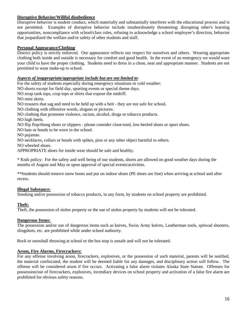#### **Disruptive Behavior/Willful disobedience**

Disruptive behavior is student conduct, which materially and substantially interferes with the educational process and is not permitted. Examples of disruptive behavior include insubordinately threatening; disrupting other's learning opportunities, noncompliance with school/class rules, refusing to acknowledge a school employee's direction, behavior that jeopardized the welfare and/or safety of other students and staff.

#### **Personal Appearance/Clothing**

District policy is strictly enforced. Our appearance reflects our respect for ourselves and others. Wearing appropriate clothing both inside and outside is necessary for comfort and good health. In the event of an emergency we would want your child to have the proper clothing. Students need to dress in a clean, neat and appropriate manner. Students are not permitted to wear make-up to school.

#### *Aspects of inappropriate/appropriate include but are not limited to*:

For the safety of students especially during emergency situations or cold weather:

NO shorts except for field day, sporting events or special theme days.

NO strap tank tops, crop tops or shirts that expose the midriff.

NO mini skirts.

NO trousers that sag and need to be held up with a belt - they are not safe for school.

NO clothing with offensive words, slogans or pictures.

NO clothing that promotes violence, racism, alcohol, drugs or tobacco products.

NO high heels.

NO flip flop/thong shoes or slippers - please consider close-toed, low-heeled shoes or sport shoes.

NO hats or hoods to be worn in the school.

NO pajamas.

NO necklaces, collars or hoods with spikes, pins or any other object harmful to others.

NO wheeled shoes.

APPROPRIATE shoes for inside wear should be safe and healthy.

\* Knik policy: For the safety and well being of our students, shorts are allowed on good weather days during the months of August and May or upon approval of special events/activities.

\*\*Students should remove snow boots and put on indoor shoes (PE shoes are fine) when arriving at school and after recess.

#### **Illegal Substance:**

Smoking and/or possession of tobacco products, in any form, by students on school property are prohibited.

#### **Theft:**

Theft, the possession of stolen property or the use of stolen property by students will not be tolerated.

#### **Dangerous Items:**

The possession and/or use of dangerous items such as knives, Swiss Army knives, Leatherman tools, spitwad shooters, slingshots, etc. are prohibited while under school authority.

Rock or snowball throwing at school or the bus stop is unsafe and will not be tolerated.

#### **Arson, Fire Alarms, Firecrackers:**

For any offense involving arson, firecrackers, explosives, or the possession of such material, parents will be notified, the material confiscated, the student will be deemed liable for any damages, and disciplinary action will follow. The offense will be considered arson if fire occurs. Activating a false alarm violates Alaska State Statute. Offenses for possession/use of firecrackers, explosives, incendiary devices on school property and activation of a false fire alarm are prohibited for obvious safety reasons.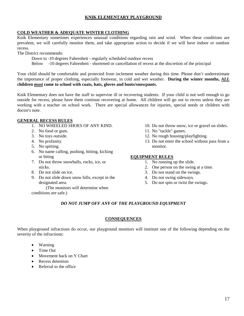## **KNIK ELEMENTARY PLAYGROUND**

#### **COLD WEATHER & ADEQUATE WINTER CLOTHING**

Knik Elementary sometimes experiences unusual conditions regarding rain and wind. When these conditions are prevalent, we will carefully monitor them, and take appropriate action to decide if we will have indoor or outdoor recess.

The District recommends:

Down to -10 degrees Fahrenheit - regularly scheduled outdoor recess

Below -10 degrees Fahrenheit - shortened or cancellation of recess at the discretion of the principal

Your child should be comfortable and protected from inclement weather during this time. Please don't underestimate the importance of proper clothing, especially footwear, in cold and wet weather. **During the winter months,** *ALL* **children** *must* **come to school with coats, hats, gloves and boots/snowpants.**

Knik Elementary does not have the staff to supervise ill or recovering students. If your child is not well enough to go outside for recess, please have them continue recovering at home. All children will go out to recess unless they are working with a teacher on school work. There are special allowances for injuries, special needs or children with doctor's note.

## **GENERAL RECESS RULES**

- 1. NO WHEELED SHOES OF ANY KIND.
- 2. No food or gum.
- 3. No toys outside.
- 4. No profanity.
- 5. No spitting.
- 6. No name calling, pushing, hitting, kicking or biting
- 7. Do not throw snowballs, rocks, ice, or sticks.
- 8. Do not slide on ice.
- 9. Do not slide down snow hills, except in the designated area.

(The monitors will determine when conditions are safe.)

- 10. Do not throw snow, ice or gravel on slides.
- 11. No "tackle" games.
- 12. No rough housing/playfighting.
- 13. Do not enter the school without pass from a monitor.

#### **EQUIPMENT RULES**

- 1. No running up the slide.
- 2. One person on the swing at a time.
- 3. Do not stand on the swings.
- 4. Do not swing sideways.
- 5. Do not spin or twist the swings.

#### *DO NOT JUMP OFF ANY OF THE PLAYGROUND EQUIPMENT*

#### **CONSEQUENCES**

When playground infractions do occur, our playground monitors will institute one of the following depending on the severity of the infractions:

- Warning
- Time Out
- Movement back on Y Chart
- Recess detention
- Referral to the office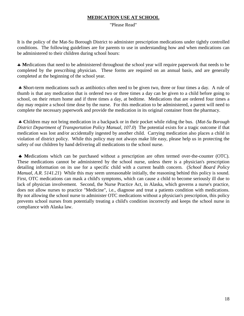# **MEDICATION USE AT SCHOOL**

"Please Read"

It is the policy of the Mat-Su Borough District to administer prescription medications under tightly controlled conditions. The following guidelines are for parents to use in understanding how and when medications can be administered to their children during school hours:

♣ **M**edications that need to be administered throughout the school year will require paperwork that needs to be completed by the prescribing physician. These forms are required on an annual basis, and are generally completed at the beginning of the school year.

♣ **S**hort-term medications such as antibiotics often need to be given two, three or four times a day. A rule of thumb is that any medication that is ordered two or three times a day can be given to a child before going to school, on their return home and if three times a day, at bedtime. Medications that are ordered four times a day may require a school time dose by the nurse. For this medication to be administered, a parent will need to complete the necessary paperwork and provide the medication in its original container from the pharmacy.

♣ **C**hildren may not bring medication in a backpack or in their pocket while riding the bus. (*Mat-Su Borough District Department of Transportation Policy Manual, 107.0*) The potential exists for a tragic outcome if that medication was lost and/or accidentally ingested by another child. Carrying medication also places a child in violation of district policy. While this policy may not always make life easy, please help us in protecting the safety of our children by hand delivering all medications to the school nurse.

♣ **M**edications which can be purchased without a prescription are often termed over-the-counter (OTC). These medications cannot be administered by the school nurse, unless there is a physician's prescription detailing information on its use for a specific child with a current health concern. (*School Board Policy Manual, A.R. 5141.21*) While this may seem unreasonable initially, the reasoning behind this policy is sound. First, OTC medications can mask a child's symptoms, which can cause a child to become seriously ill due to lack of physician involvement. Second, the Nurse Practice Act, in Alaska, which governs a nurse's practice, does not allow nurses to practice "Medicine", i.e., diagnose and treat a patients condition with medications. By not allowing the school nurse to administer OTC medications without a physician's prescription, this policy prevents school nurses from potentially treating a child's condition incorrectly and keeps the school nurse in compliance with Alaska law.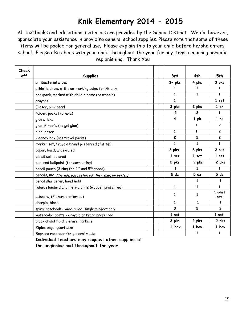# **Knik Elementary 2014 - 2015**

All textbooks and educational materials are provided by the School District. We do, however, appreciate your assistance in providing general school supplies. Please note that some of these items will be pooled for general use. Please explain this to your child before he/she enters school. Please also check with your child throughout the year for any items requiring periodic replenishing. Thank You

| Check |                                                                     |                 |                 |                 |
|-------|---------------------------------------------------------------------|-----------------|-----------------|-----------------|
| off   | <b>Supplies</b>                                                     | 3rd             | 4th             | 5th             |
|       | antibacterial wipes                                                 | $3 + pks$       | 4 pks           | 3 pks           |
|       | athletic shoes with non-marking soles for PE only                   | 1               | 1               | $\mathbf{1}$    |
|       | backpack, marked with child's name (no wheels)                      | $\mathbf{1}$    | $\mathbf{1}$    | $\mathbf{1}$    |
|       | crayons                                                             | $\mathbf{1}$    |                 | 1 set           |
|       | Eraser, pink pearl                                                  | 3 pks           | 2 pks           | 1 <sub>pk</sub> |
|       | folder, pocket (3 hole)                                             | $\overline{2}$  | 2               | $\mathbf{1}$    |
|       | glue sticks                                                         | 4               | 1 <sub>pk</sub> | 1 <sub>pk</sub> |
|       | glue, Elmer's (no gel glue)                                         |                 | $\mathbf{1}$    | $\overline{c}$  |
|       | highlighter                                                         | $\mathbf{1}$    | $\mathbf{1}$    | $\overline{c}$  |
|       | kleenex box (not travel packs)                                      | $\mathbf{2}$    | $\mathbf{2}$    | $\mathbf{2}$    |
|       | marker set, Crayola brand preferred (fat tip)                       | $\mathbf{1}$    | 1               | $\mathbf{1}$    |
|       | paper, lined, wide-ruled                                            | 3 pks           | 3 pks           | 2 pks           |
|       | pencil set, colored                                                 | 1 set           | 1 set           | 1 set           |
|       | pen, red ballpoint (for correcting)                                 | 2 pks           | 2 pks           | 2 pks           |
|       | pencil pouch (3 ring for 4 <sup>th</sup> and 5 <sup>th</sup> grade) | 1               | $\mathbf{1}$    | $\mathbf{1}$    |
|       | pencils, #2 (Ticonderoga preferred, they sharpen better)            | 5 <sub>dz</sub> | 5 <sub>dz</sub> | 5 <sub>dz</sub> |
|       | pencil sharpener, hand held                                         |                 | 1               | 1               |
|       | ruler, standard and metric units (wooden preferred)                 | $\mathbf{1}$    | 1               | 1               |
|       | scissors, (Fiskars preferred)                                       | 1               | 1               | 1 adult<br>size |
|       | sharpie, black                                                      | $\mathbf{1}$    | $\mathbf{1}$    | $\mathbf{1}$    |
|       | spiral notebook - wide-ruled, single subject only                   | 3               | $\overline{c}$  | $\overline{c}$  |
|       | watercolor paints - Crayola or Prang preferred                      | 1 set           |                 | 1 set           |
|       | black chisel tip dry erase markers                                  | 3 pks           | 2 pks           | 2 pks           |
|       | Ziploc bags, quart size                                             | 1 box           | 1 box           | 1 box           |
|       | Soprano recorder for general music                                  |                 | 1               | 1               |

**Individual teachers may request other supplies at the beginning and throughout the year.**